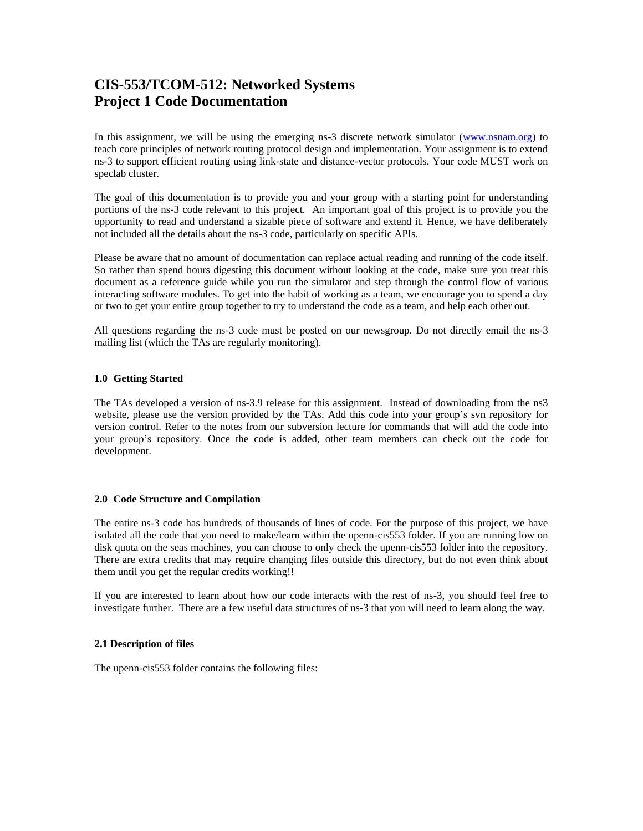# **CIS-553/TCOM-512: Networked Systems Project 1 Code Documentation**

In this assignment, we will be using the emerging ns-3 discrete network simulator [\(www.nsnam.org\)](http://www.nsnam.org/) to teach core principles of network routing protocol design and implementation. Your assignment is to extend ns-3 to support efficient routing using link-state and distance-vector protocols. Your code MUST work on speclab cluster.

The goal of this documentation is to provide you and your group with a starting point for understanding portions of the ns-3 code relevant to this project. An important goal of this project is to provide you the opportunity to read and understand a sizable piece of software and extend it. Hence, we have deliberately not included all the details about the ns-3 code, particularly on specific APIs.

Please be aware that no amount of documentation can replace actual reading and running of the code itself. So rather than spend hours digesting this document without looking at the code, make sure you treat this document as a reference guide while you run the simulator and step through the control flow of various interacting software modules. To get into the habit of working as a team, we encourage you to spend a day or two to get your entire group together to try to understand the code as a team, and help each other out.

All questions regarding the ns-3 code must be posted on our newsgroup. Do not directly email the ns-3 mailing list (which the TAs are regularly monitoring).

## **1.0 Getting Started**

The TAs developed a version of ns-3.9 release for this assignment. Instead of downloading from the ns3 website, please use the version provided by the TAs. Add this code into your group's svn repository for version control. Refer to the notes from our subversion lecture for commands that will add the code into your group's repository. Once the code is added, other team members can check out the code for development.

## **2.0 Code Structure and Compilation**

The entire ns-3 code has hundreds of thousands of lines of code. For the purpose of this project, we have isolated all the code that you need to make/learn within the upenn-cis553 folder. If you are running low on disk quota on the seas machines, you can choose to only check the upenn-cis553 folder into the repository. There are extra credits that may require changing files outside this directory, but do not even think about them until you get the regular credits working!!

If you are interested to learn about how our code interacts with the rest of ns-3, you should feel free to investigate further. There are a few useful data structures of ns-3 that you will need to learn along the way.

## **2.1 Description of files**

The upenn-cis553 folder contains the following files: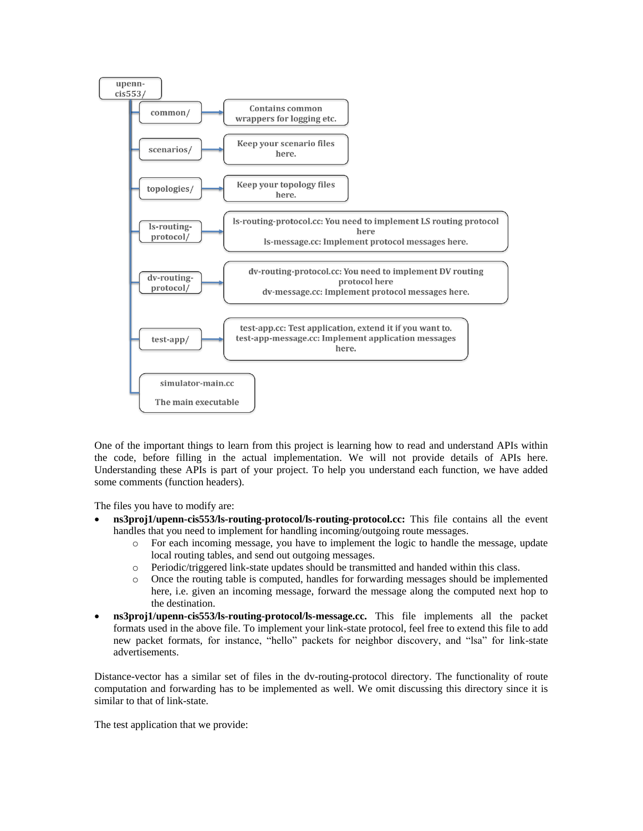

One of the important things to learn from this project is learning how to read and understand APIs within the code, before filling in the actual implementation. We will not provide details of APIs here. Understanding these APIs is part of your project. To help you understand each function, we have added some comments (function headers).

The files you have to modify are:

- **ns3proj1/upenn-cis553/ls-routing-protocol/ls-routing-protocol.cc:** This file contains all the event handles that you need to implement for handling incoming/outgoing route messages.
	- o For each incoming message, you have to implement the logic to handle the message, update local routing tables, and send out outgoing messages.
	- o Periodic/triggered link-state updates should be transmitted and handed within this class.
	- o Once the routing table is computed, handles for forwarding messages should be implemented here, i.e. given an incoming message, forward the message along the computed next hop to the destination.
- **ns3proj1/upenn-cis553/ls-routing-protocol/ls-message.cc.** This file implements all the packet formats used in the above file. To implement your link-state protocol, feel free to extend this file to add new packet formats, for instance, "hello" packets for neighbor discovery, and "lsa" for link-state advertisements.

Distance-vector has a similar set of files in the dv-routing-protocol directory. The functionality of route computation and forwarding has to be implemented as well. We omit discussing this directory since it is similar to that of link-state.

The test application that we provide: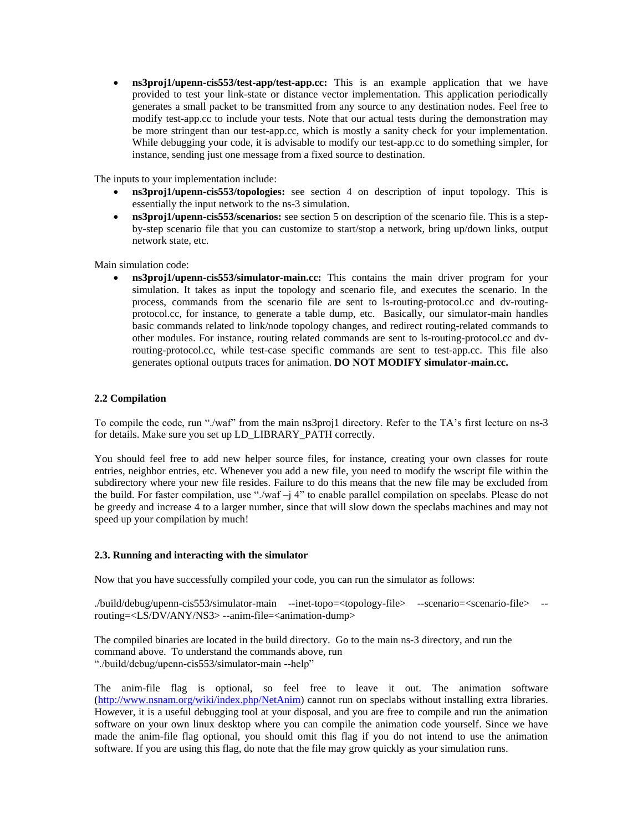**ns3proj1/upenn-cis553/test-app/test-app.cc:** This is an example application that we have provided to test your link-state or distance vector implementation. This application periodically generates a small packet to be transmitted from any source to any destination nodes. Feel free to modify test-app.cc to include your tests. Note that our actual tests during the demonstration may be more stringent than our test-app.cc, which is mostly a sanity check for your implementation. While debugging your code, it is advisable to modify our test-app.cc to do something simpler, for instance, sending just one message from a fixed source to destination.

The inputs to your implementation include:

- **ns3proj1/upenn-cis553/topologies:** see section 4 on description of input topology. This is essentially the input network to the ns-3 simulation.
- **ns3proj1/upenn-cis553/scenarios:** see section 5 on description of the scenario file. This is a stepby-step scenario file that you can customize to start/stop a network, bring up/down links, output network state, etc.

Main simulation code:

 **ns3proj1/upenn-cis553/simulator-main.cc:** This contains the main driver program for your simulation. It takes as input the topology and scenario file, and executes the scenario. In the process, commands from the scenario file are sent to ls-routing-protocol.cc and dv-routingprotocol.cc, for instance, to generate a table dump, etc. Basically, our simulator-main handles basic commands related to link/node topology changes, and redirect routing-related commands to other modules. For instance, routing related commands are sent to ls-routing-protocol.cc and dvrouting-protocol.cc, while test-case specific commands are sent to test-app.cc. This file also generates optional outputs traces for animation. **DO NOT MODIFY simulator-main.cc.**

## **2.2 Compilation**

To compile the code, run "./waf" from the main ns3proj1 directory. Refer to the TA's first lecture on ns-3 for details. Make sure you set up LD\_LIBRARY\_PATH correctly.

You should feel free to add new helper source files, for instance, creating your own classes for route entries, neighbor entries, etc. Whenever you add a new file, you need to modify the wscript file within the subdirectory where your new file resides. Failure to do this means that the new file may be excluded from the build. For faster compilation, use "./waf –j 4" to enable parallel compilation on speclabs. Please do not be greedy and increase 4 to a larger number, since that will slow down the speclabs machines and may not speed up your compilation by much!

## **2.3. Running and interacting with the simulator**

Now that you have successfully compiled your code, you can run the simulator as follows:

./build/debug/upenn-cis553/simulator-main --inet-topo=<topology-file> --scenario=<scenario-file> - routing=<LS/DV/ANY/NS3> --anim-file=<animation-dump>

The compiled binaries are located in the build directory. Go to the main ns-3 directory, and run the command above. To understand the commands above, run "./build/debug/upenn-cis553/simulator-main --help"

The anim-file flag is optional, so feel free to leave it out. The animation software [\(http://www.nsnam.org/wiki/index.php/NetAnim\)](http://www.nsnam.org/wiki/index.php/NetAnim) cannot run on speclabs without installing extra libraries. However, it is a useful debugging tool at your disposal, and you are free to compile and run the animation software on your own linux desktop where you can compile the animation code yourself. Since we have made the anim-file flag optional, you should omit this flag if you do not intend to use the animation software. If you are using this flag, do note that the file may grow quickly as your simulation runs.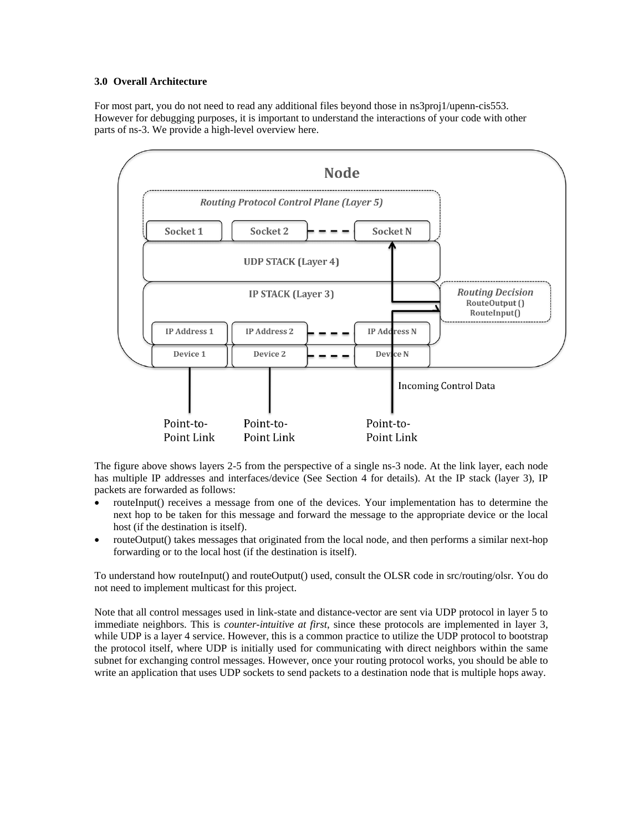## **3.0 Overall Architecture**

For most part, you do not need to read any additional files beyond those in ns3proj1/upenn-cis553. However for debugging purposes, it is important to understand the interactions of your code with other parts of ns-3. We provide a high-level overview here.



The figure above shows layers 2-5 from the perspective of a single ns-3 node. At the link layer, each node has multiple IP addresses and interfaces/device (See Section 4 for details). At the IP stack (layer 3), IP packets are forwarded as follows:

- routeInput() receives a message from one of the devices. Your implementation has to determine the next hop to be taken for this message and forward the message to the appropriate device or the local host (if the destination is itself).
- routeOutput() takes messages that originated from the local node, and then performs a similar next-hop forwarding or to the local host (if the destination is itself).

To understand how routeInput() and routeOutput() used, consult the OLSR code in src/routing/olsr. You do not need to implement multicast for this project.

Note that all control messages used in link-state and distance-vector are sent via UDP protocol in layer 5 to immediate neighbors. This is *counter-intuitive at first*, since these protocols are implemented in layer 3, while UDP is a layer 4 service. However, this is a common practice to utilize the UDP protocol to bootstrap the protocol itself, where UDP is initially used for communicating with direct neighbors within the same subnet for exchanging control messages. However, once your routing protocol works, you should be able to write an application that uses UDP sockets to send packets to a destination node that is multiple hops away.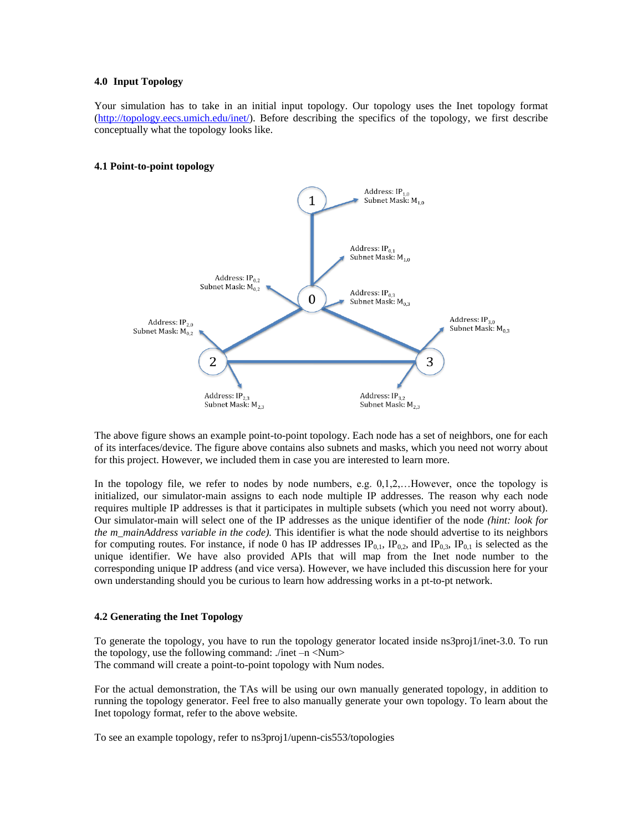## **4.0 Input Topology**

Your simulation has to take in an initial input topology. Our topology uses the Inet topology format [\(http://topology.eecs.umich.edu/inet/\)](http://topology.eecs.umich.edu/inet/). Before describing the specifics of the topology, we first describe conceptually what the topology looks like.

## **4.1 Point-to-point topology**



The above figure shows an example point-to-point topology. Each node has a set of neighbors, one for each of its interfaces/device. The figure above contains also subnets and masks, which you need not worry about for this project. However, we included them in case you are interested to learn more.

In the topology file, we refer to nodes by node numbers, e.g. 0,1,2,...However, once the topology is initialized, our simulator-main assigns to each node multiple IP addresses. The reason why each node requires multiple IP addresses is that it participates in multiple subsets (which you need not worry about). Our simulator-main will select one of the IP addresses as the unique identifier of the node *(hint: look for the m\_mainAddress variable in the code).* This identifier is what the node should advertise to its neighbors for computing routes. For instance, if node 0 has IP addresses  $IP_{0,1}$ ,  $IP_{0,2}$ , and  $IP_{0,3}$ ,  $IP_{0,1}$  is selected as the unique identifier. We have also provided APIs that will map from the Inet node number to the corresponding unique IP address (and vice versa). However, we have included this discussion here for your own understanding should you be curious to learn how addressing works in a pt-to-pt network.

## **4.2 Generating the Inet Topology**

To generate the topology, you have to run the topology generator located inside ns3proj1/inet-3.0. To run the topology, use the following command: ./inet –n <Num> The command will create a point-to-point topology with Num nodes.

For the actual demonstration, the TAs will be using our own manually generated topology, in addition to running the topology generator. Feel free to also manually generate your own topology. To learn about the Inet topology format, refer to the above website.

To see an example topology, refer to ns3proj1/upenn-cis553/topologies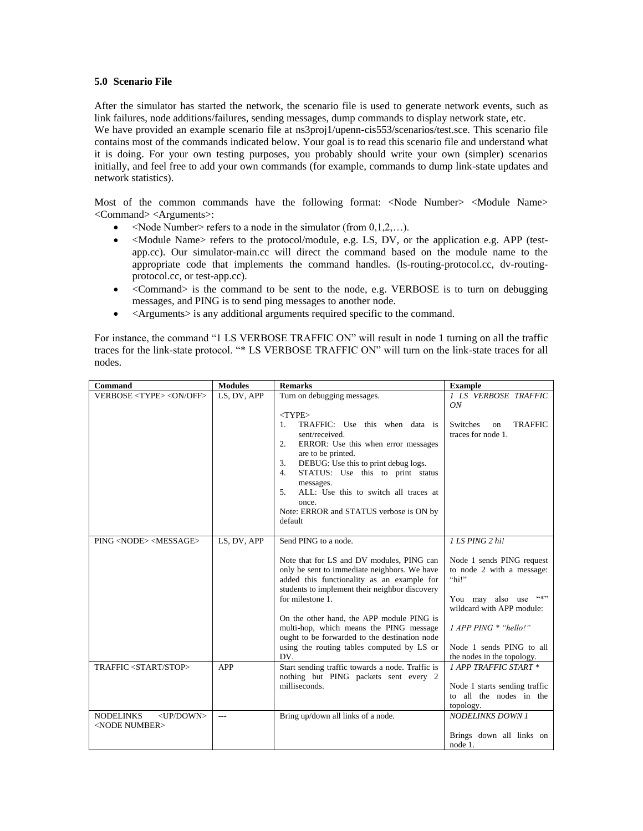## **5.0 Scenario File**

After the simulator has started the network, the scenario file is used to generate network events, such as link failures, node additions/failures, sending messages, dump commands to display network state, etc. We have provided an example scenario file at ns3proj1/upenn-cis553/scenarios/test.sce. This scenario file contains most of the commands indicated below. Your goal is to read this scenario file and understand what it is doing. For your own testing purposes, you probably should write your own (simpler) scenarios initially, and feel free to add your own commands (for example, commands to dump link-state updates and network statistics).

Most of the common commands have the following format: <Node Number> <Module Name> <Command> <Arguments>:

- $\leq$ Node Number> refers to a node in the simulator (from 0,1,2,...).
- $\bullet$  <Module Name> refers to the protocol/module, e.g. LS, DV, or the application e.g. APP (testapp.cc). Our simulator-main.cc will direct the command based on the module name to the appropriate code that implements the command handles. (ls-routing-protocol.cc, dv-routingprotocol.cc, or test-app.cc).
- $\bullet$  <Command> is the command to be sent to the node, e.g. VERBOSE is to turn on debugging messages, and PING is to send ping messages to another node.
- <Arguments> is any additional arguments required specific to the command.

For instance, the command "1 LS VERBOSE TRAFFIC ON" will result in node 1 turning on all the traffic traces for the link-state protocol. "\* LS VERBOSE TRAFFIC ON" will turn on the link-state traces for all nodes.

| Command                                                           | <b>Modules</b> | <b>Remarks</b>                                                                                                                                                                                                                                                                                                                                                                                                                      | <b>Example</b>                                                                                                                                                                                                                   |
|-------------------------------------------------------------------|----------------|-------------------------------------------------------------------------------------------------------------------------------------------------------------------------------------------------------------------------------------------------------------------------------------------------------------------------------------------------------------------------------------------------------------------------------------|----------------------------------------------------------------------------------------------------------------------------------------------------------------------------------------------------------------------------------|
| VERBOSE <type><on off=""></on></type>                             | LS, DV, APP    | Turn on debugging messages.<br>$<$ TYPE $>$                                                                                                                                                                                                                                                                                                                                                                                         | 1 LS VERBOSE TRAFFIC<br>ON                                                                                                                                                                                                       |
|                                                                   |                | TRAFFIC: Use this when data is<br>1.<br>sent/received.<br>ERROR: Use this when error messages<br>2.<br>are to be printed.<br>DEBUG: Use this to print debug logs.<br>3.<br>STATUS: Use this to print status<br>4.<br>messages.<br>ALL: Use this to switch all traces at<br>5.<br>once.<br>Note: ERROR and STATUS verbose is ON by<br>default                                                                                        | Switches<br><b>TRAFFIC</b><br>on<br>traces for node 1.                                                                                                                                                                           |
| PING <node> <message></message></node>                            | LS, DV, APP    | Send PING to a node.<br>Note that for LS and DV modules, PING can<br>only be sent to immediate neighbors. We have<br>added this functionality as an example for<br>students to implement their neighbor discovery<br>for milestone 1.<br>On the other hand, the APP module PING is<br>multi-hop, which means the PING message<br>ought to be forwarded to the destination node<br>using the routing tables computed by LS or<br>DV. | 1 LS PING 2 hi!<br>Node 1 sends PING request<br>to node 2 with a message:<br>"hi!"<br>(4, 3)<br>You may also use<br>wildcard with APP module:<br>1 APP PING * "hello!"<br>Node 1 sends PING to all<br>the nodes in the topology. |
| TRAFFIC <start stop=""></start>                                   | APP            | Start sending traffic towards a node. Traffic is<br>nothing but PING packets sent every 2<br>milliseconds.                                                                                                                                                                                                                                                                                                                          | 1 APP TRAFFIC START *<br>Node 1 starts sending traffic<br>to all the nodes in the<br>topology.                                                                                                                                   |
| <b>NODELINKS</b><br><up down=""><br/><node number=""></node></up> | $---$          | Bring up/down all links of a node.                                                                                                                                                                                                                                                                                                                                                                                                  | <b>NODELINKS DOWN 1</b><br>Brings down all links on<br>node 1.                                                                                                                                                                   |